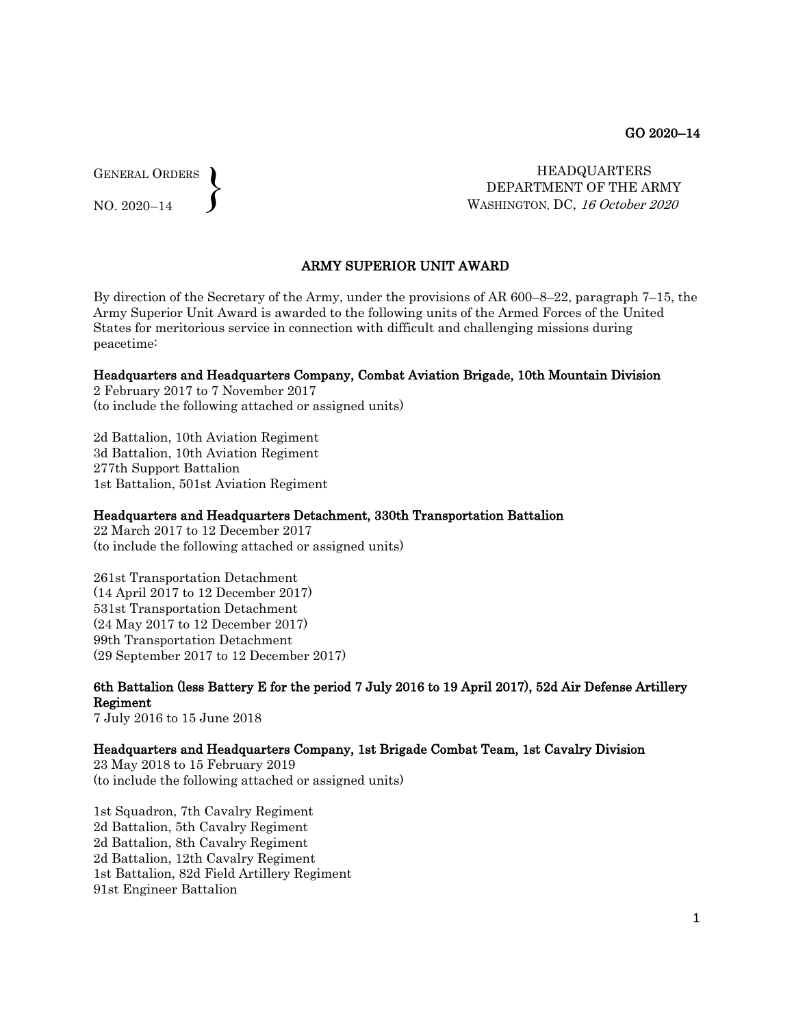GENERAL ORDERS  $\left\{ \right\}$ 

NO. 2020–14

 HEADQUARTERS DEPARTMENT OF THE ARMY WASHINGTON, DC, 16 October 2020

## ARMY SUPERIOR UNIT AWARD

By direction of the Secretary of the Army, under the provisions of AR 600–8–22, paragraph 7–15, the Army Superior Unit Award is awarded to the following units of the Armed Forces of the United States for meritorious service in connection with difficult and challenging missions during peacetime:

#### Headquarters and Headquarters Company, Combat Aviation Brigade, 10th Mountain Division

2 February 2017 to 7 November 2017 (to include the following attached or assigned units)

2d Battalion, 10th Aviation Regiment 3d Battalion, 10th Aviation Regiment 277th Support Battalion 1st Battalion, 501st Aviation Regiment

#### Headquarters and Headquarters Detachment, 330th Transportation Battalion

22 March 2017 to 12 December 2017 (to include the following attached or assigned units)

261st Transportation Detachment (14 April 2017 to 12 December 2017) 531st Transportation Detachment (24 May 2017 to 12 December 2017) 99th Transportation Detachment (29 September 2017 to 12 December 2017)

6th Battalion (less Battery E for the period 7 July 2016 to 19 April 2017), 52d Air Defense Artillery Regiment 7 July 2016 to 15 June 2018

#### Headquarters and Headquarters Company, 1st Brigade Combat Team, 1st Cavalry Division

23 May 2018 to 15 February 2019 (to include the following attached or assigned units)

1st Squadron, 7th Cavalry Regiment 2d Battalion, 5th Cavalry Regiment 2d Battalion, 8th Cavalry Regiment 2d Battalion, 12th Cavalry Regiment 1st Battalion, 82d Field Artillery Regiment 91st Engineer Battalion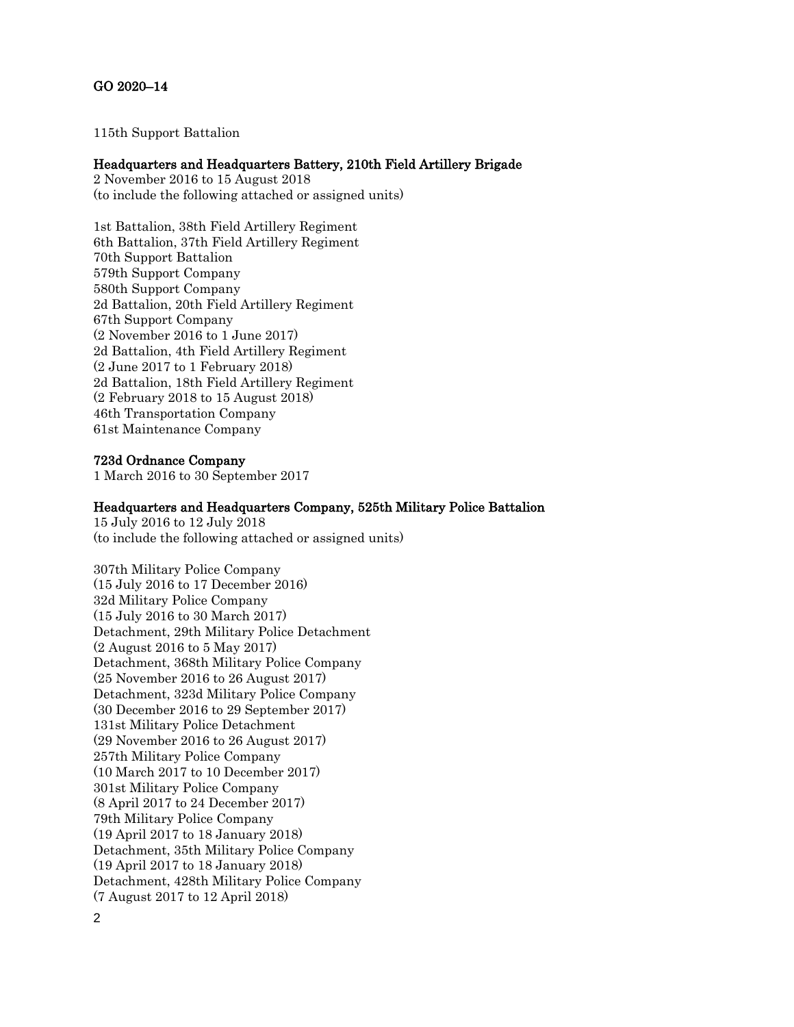# GO 2020–14

115th Support Battalion

### Headquarters and Headquarters Battery, 210th Field Artillery Brigade

2 November 2016 to 15 August 2018 (to include the following attached or assigned units)

1st Battalion, 38th Field Artillery Regiment 6th Battalion, 37th Field Artillery Regiment 70th Support Battalion 579th Support Company 580th Support Company 2d Battalion, 20th Field Artillery Regiment 67th Support Company (2 November 2016 to 1 June 2017) 2d Battalion, 4th Field Artillery Regiment (2 June 2017 to 1 February 2018) 2d Battalion, 18th Field Artillery Regiment (2 February 2018 to 15 August 2018) 46th Transportation Company 61st Maintenance Company

### 723d Ordnance Company

1 March 2016 to 30 September 2017

#### Headquarters and Headquarters Company, 525th Military Police Battalion

15 July 2016 to 12 July 2018 (to include the following attached or assigned units)

307th Military Police Company (15 July 2016 to 17 December 2016) 32d Military Police Company (15 July 2016 to 30 March 2017) Detachment, 29th Military Police Detachment (2 August 2016 to 5 May 2017) Detachment, 368th Military Police Company (25 November 2016 to 26 August 2017) Detachment, 323d Military Police Company (30 December 2016 to 29 September 2017) 131st Military Police Detachment (29 November 2016 to 26 August 2017) 257th Military Police Company (10 March 2017 to 10 December 2017) 301st Military Police Company (8 April 2017 to 24 December 2017) 79th Military Police Company (19 April 2017 to 18 January 2018) Detachment, 35th Military Police Company (19 April 2017 to 18 January 2018) Detachment, 428th Military Police Company (7 August 2017 to 12 April 2018)